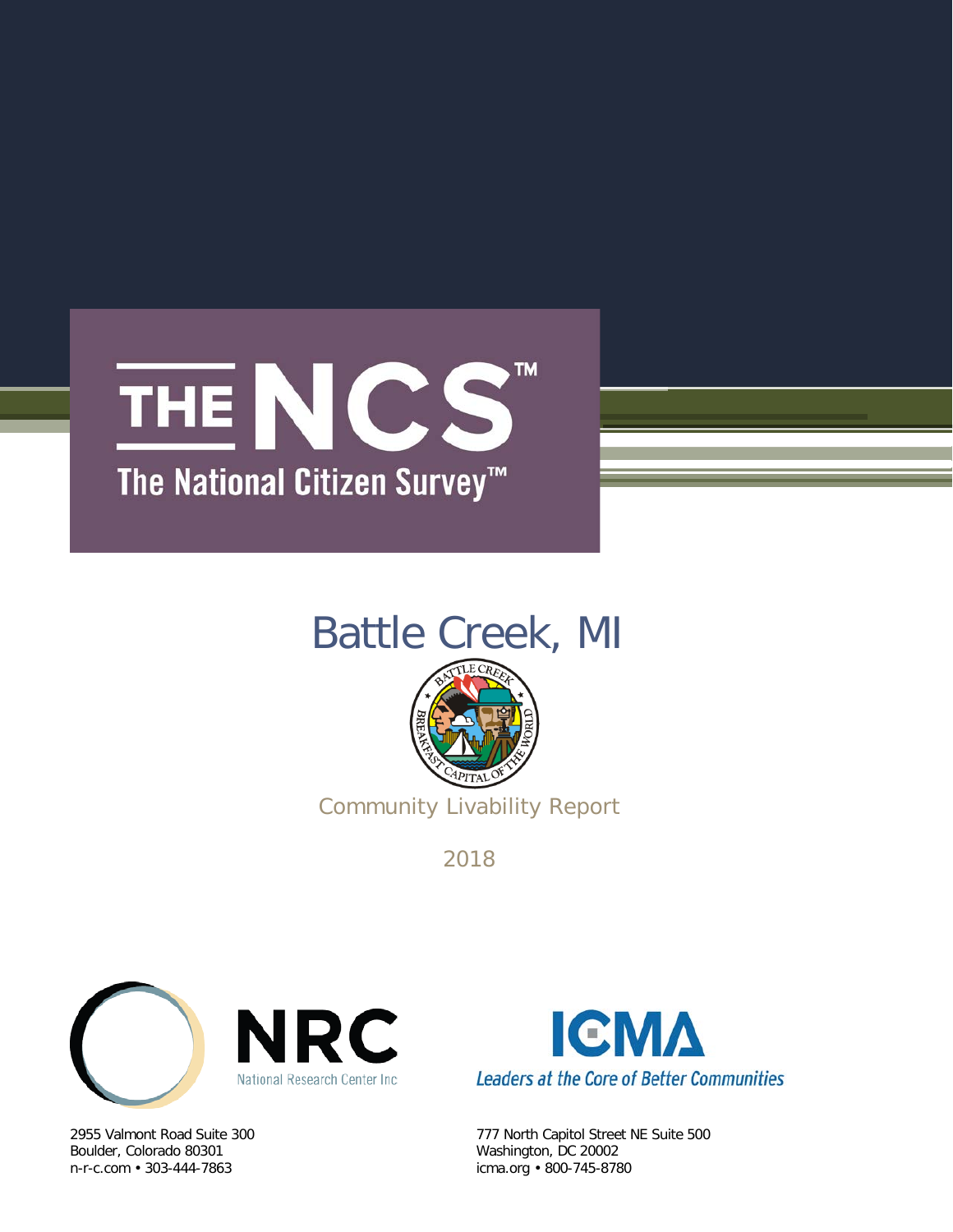# **TM** THE NCS The National Citizen Survey<sup>™</sup>

# Battle Creek, MI



Community Livability Report

2018



Boulder, Colorado 80301 Washington, DC 20002



2955 Valmont Road Suite 300 777 North Capitol Street NE Suite 500 icma.org • 800-745-8780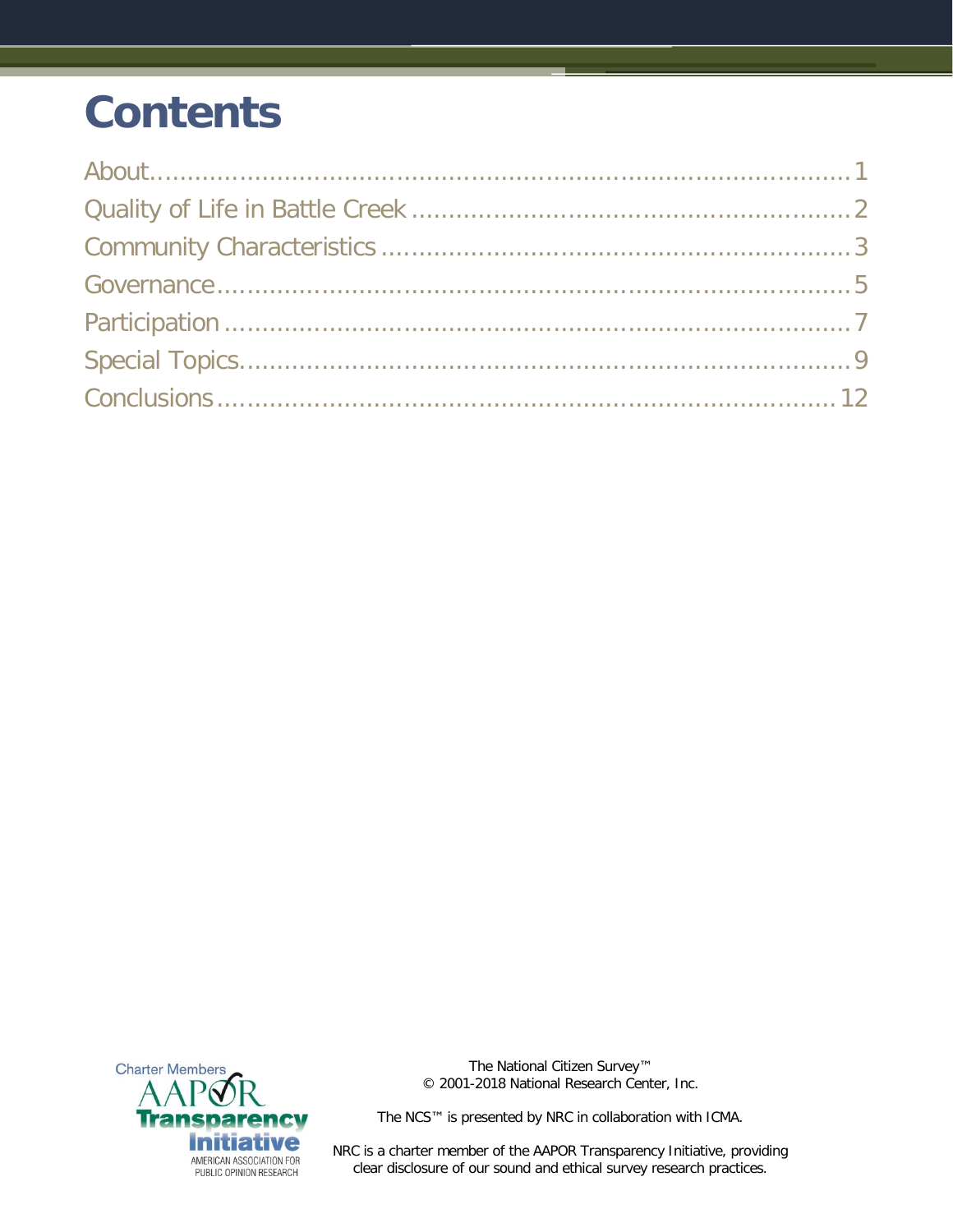# **Contents**



The National Citizen Survey™ © 2001-2018 National Research Center, Inc.

The NCS™ is presented by NRC in collaboration with ICMA.

NRC is a charter member of the AAPOR Transparency Initiative, providing clear disclosure of our sound and ethical survey research practices.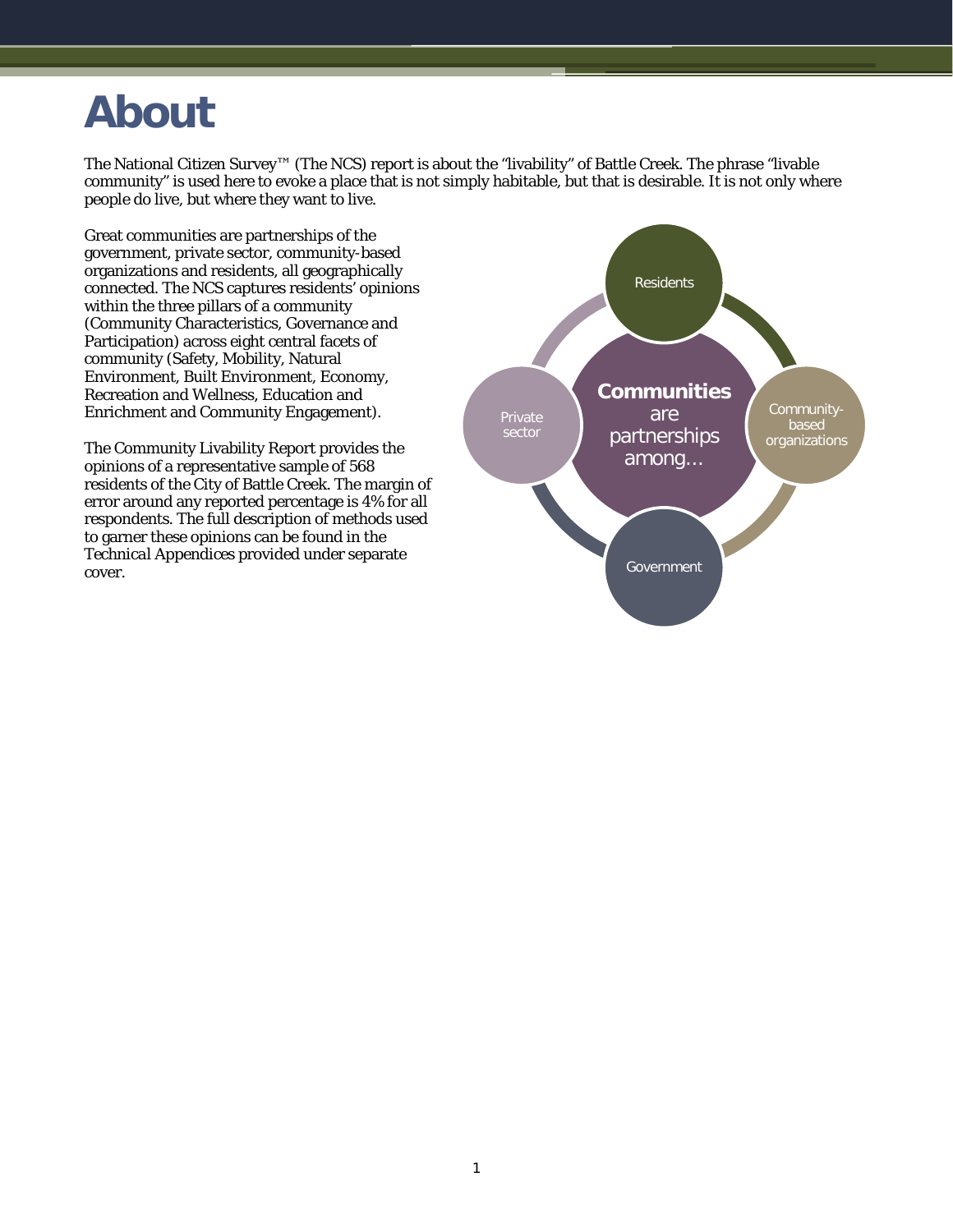## <span id="page-2-0"></span>**About**

The National Citizen Survey™ (The NCS) report is about the "livability" of Battle Creek. The phrase "livable community" is used here to evoke a place that is not simply habitable, but that is desirable. It is not only where people do live, but where they want to live.

Great communities are partnerships of the government, private sector, community-based organizations and residents, all geographically connected. The NCS captures residents' opinions within the three pillars of a community (Community Characteristics, Governance and Participation) across eight central facets of community (Safety, Mobility, Natural Environment, Built Environment, Economy, Recreation and Wellness, Education and Enrichment and Community Engagement).

The Community Livability Report provides the opinions of a representative sample of 568 residents of the City of Battle Creek. The margin of error around any reported percentage is 4% for all respondents. The full description of methods used to garner these opinions can be found in the *Technical Appendices* provided under separate cover.

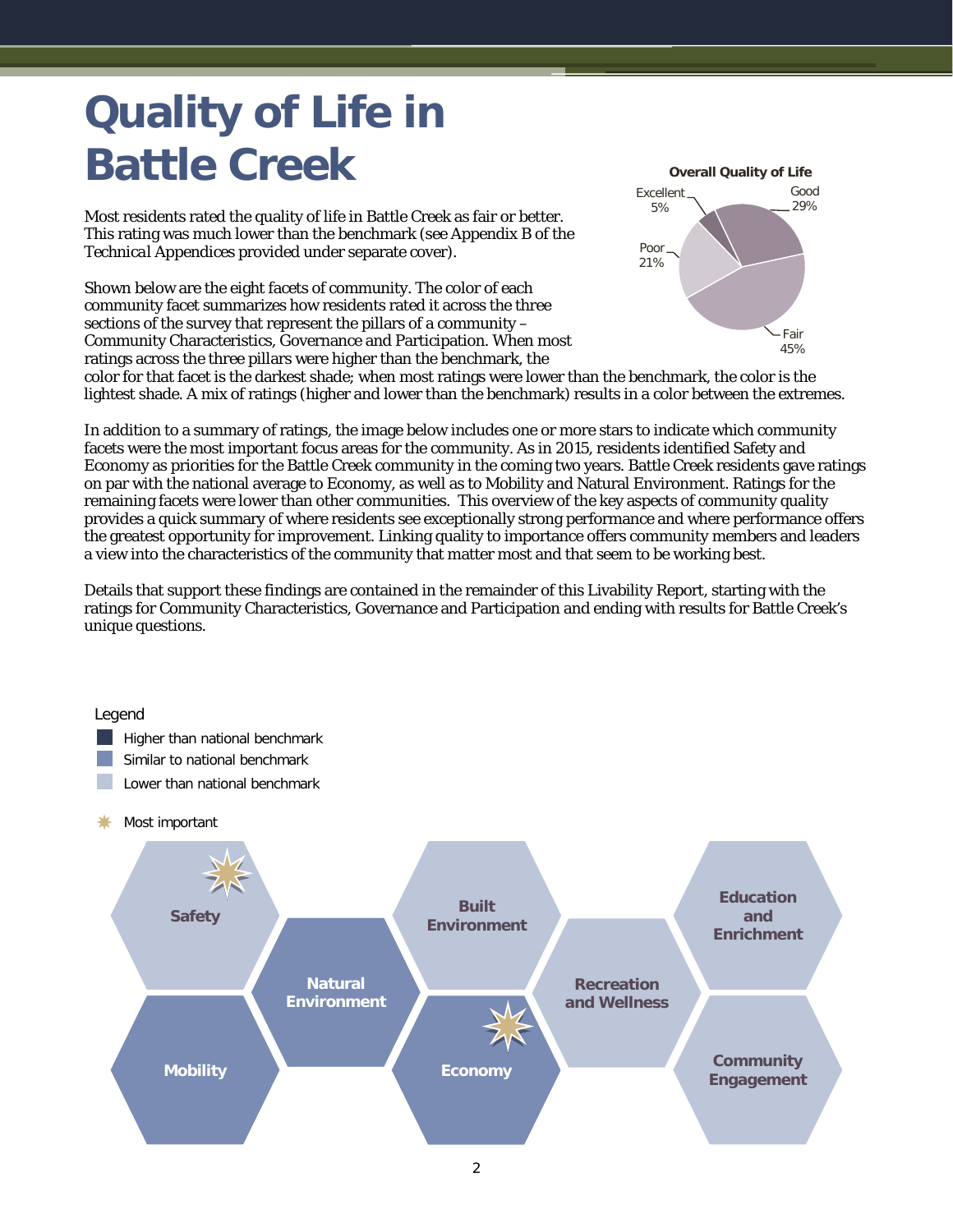# <span id="page-3-0"></span>**Quality of Life in Battle Creek**

Most residents rated the quality of life in Battle Creek as fair or better. This rating was much lower than the benchmark (see Appendix B of the *Technical Appendices* provided under separate cover).

Shown below are the eight facets of community. The color of each community facet summarizes how residents rated it across the three sections of the survey that represent the pillars of a community – Community Characteristics, Governance and Participation. When most ratings across the three pillars were higher than the benchmark, the



color for that facet is the darkest shade; when most ratings were lower than the benchmark, the color is the lightest shade. A mix of ratings (higher and lower than the benchmark) results in a color between the extremes.

In addition to a summary of ratings, the image below includes one or more stars to indicate which community facets were the most important focus areas for the community. As in 2015, residents identified Safety and Economy as priorities for the Battle Creek community in the coming two years. Battle Creek residents gave ratings on par with the national average to Economy, as well as to Mobility and Natural Environment. Ratings for the remaining facets were lower than other communities. This overview of the key aspects of community quality provides a quick summary of where residents see exceptionally strong performance and where performance offers the greatest opportunity for improvement. Linking quality to importance offers community members and leaders a view into the characteristics of the community that matter most and that seem to be working best.

Details that support these findings are contained in the remainder of this Livability Report, starting with the ratings for Community Characteristics, Governance and Participation and ending with results for Battle Creek's unique questions.

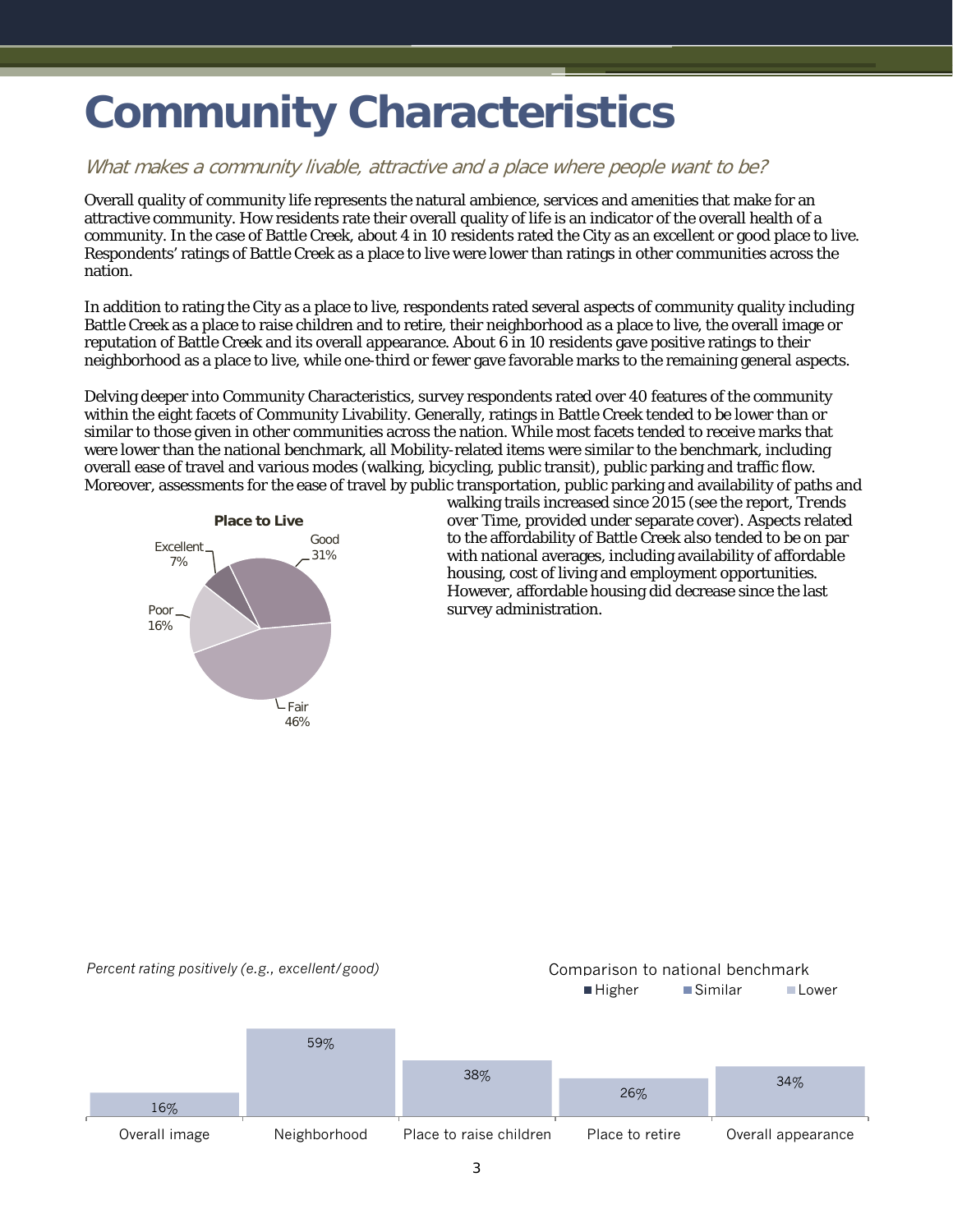# <span id="page-4-0"></span>**Community Characteristics**

#### What makes a community livable, attractive and a place where people want to be?

Overall quality of community life represents the natural ambience, services and amenities that make for an attractive community. How residents rate their overall quality of life is an indicator of the overall health of a community. In the case of Battle Creek, about 4 in 10 residents rated the City as an excellent or good place to live. Respondents' ratings of Battle Creek as a place to live were lower than ratings in other communities across the nation.

In addition to rating the City as a place to live, respondents rated several aspects of community quality including Battle Creek as a place to raise children and to retire, their neighborhood as a place to live, the overall image or reputation of Battle Creek and its overall appearance. About 6 in 10 residents gave positive ratings to their neighborhood as a place to live, while one-third or fewer gave favorable marks to the remaining general aspects.

Delving deeper into Community Characteristics, survey respondents rated over 40 features of the community within the eight facets of Community Livability. Generally, ratings in Battle Creek tended to be lower than or similar to those given in other communities across the nation. While most facets tended to receive marks that were lower than the national benchmark, all Mobility-related items were similar to the benchmark, including overall ease of travel and various modes (walking, bicycling, public transit), public parking and traffic flow. Moreover, assessments for the ease of travel by public transportation, public parking and availability of paths and



walking trails increased since 2015 (see the report, *Trends over Time*, provided under separate cover). Aspects related to the affordability of Battle Creek also tended to be on par with national averages, including availability of affordable housing, cost of living and employment opportunities. However, affordable housing did decrease since the last survey administration.

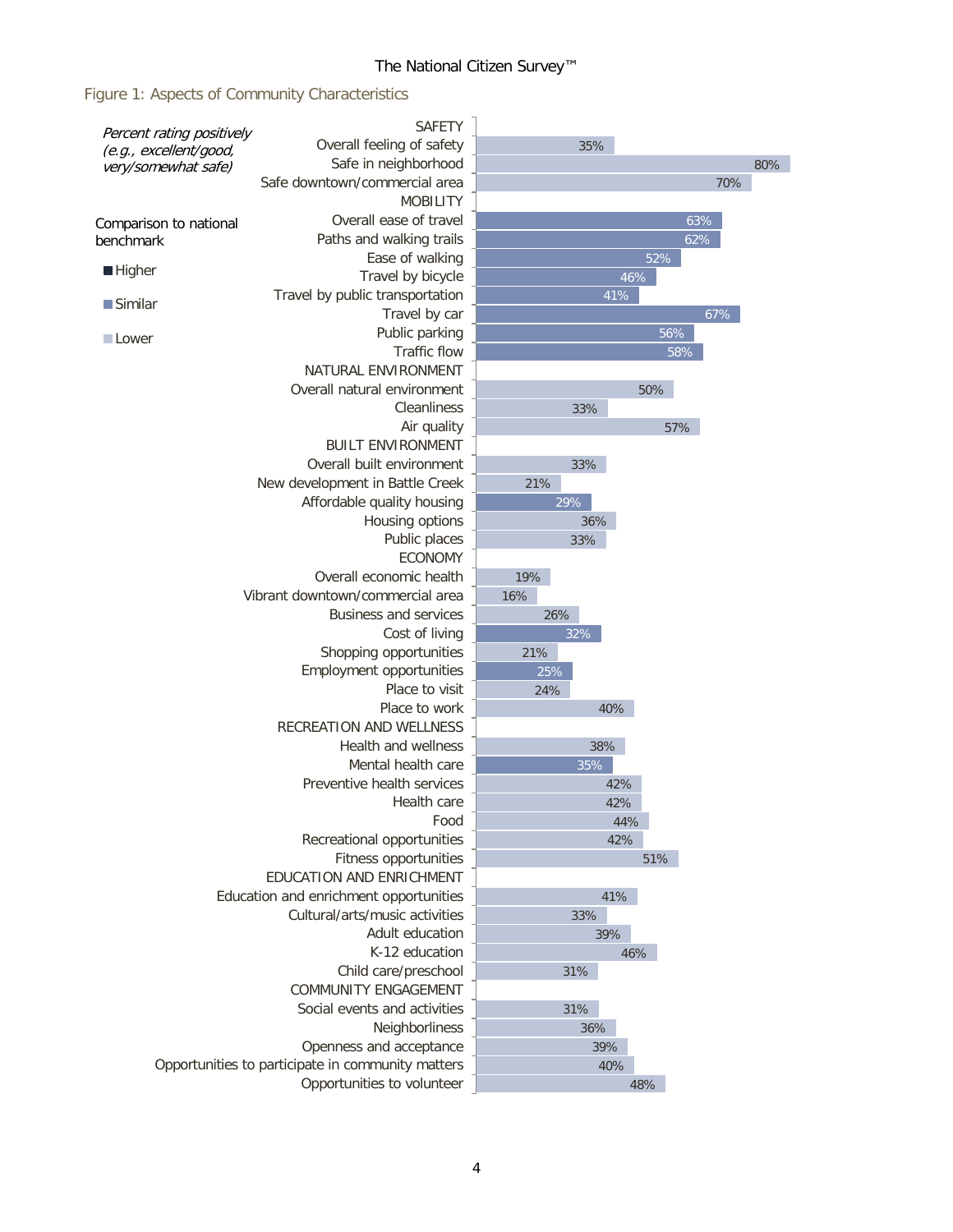## The National Citizen Survey™

Figure 1: Aspects of Community Characteristics

|                                               | <b>SAFETY</b>                                                                |                  |     |
|-----------------------------------------------|------------------------------------------------------------------------------|------------------|-----|
| Percent rating positively                     | Overall feeling of safety                                                    | 35%              |     |
| (e.g., excellent/good,<br>very/somewhat safe) | Safe in neighborhood                                                         |                  | 80% |
|                                               | Safe downtown/commercial area                                                | 70%              |     |
|                                               | <b>MOBILITY</b>                                                              |                  |     |
| Comparison to national                        | Overall ease of travel                                                       | 63%              |     |
| benchmark                                     | Paths and walking trails                                                     | 62%              |     |
|                                               | Ease of walking                                                              | 52%              |     |
| ■ Higher                                      | Travel by bicycle                                                            | $\frac{46\%}{ }$ |     |
| ■Similar                                      | Travel by public transportation                                              | 41%              |     |
|                                               | Travel by car                                                                | 67%              |     |
| Lower                                         | Public parking                                                               | 56%              |     |
|                                               | Traffic flow                                                                 | 58%              |     |
|                                               | NATURAL ENVIRONMENT                                                          |                  |     |
|                                               | Overall natural environment                                                  | 50%              |     |
|                                               | Cleanliness                                                                  | 33%              |     |
|                                               | Air quality                                                                  | 57%              |     |
|                                               | <b>BUILT ENVIRONMENT</b>                                                     |                  |     |
|                                               | Overall built environment                                                    | 33%              |     |
|                                               | New development in Battle Creek                                              | 21%              |     |
|                                               | Affordable quality housing                                                   | 29%              |     |
|                                               | Housing options                                                              | 36%              |     |
|                                               | Public places<br><b>ECONOMY</b>                                              | 33%              |     |
|                                               | Overall economic health                                                      | 19%              |     |
|                                               | Vibrant downtown/commercial area                                             | 16%              |     |
|                                               | <b>Business and services</b>                                                 | 26%              |     |
|                                               | Cost of living                                                               | 32%              |     |
|                                               | Shopping opportunities                                                       | 21%              |     |
|                                               | Employment opportunities                                                     | 25%              |     |
|                                               | Place to visit                                                               | 24%              |     |
|                                               | Place to work                                                                | 40%              |     |
|                                               | <b>RECREATION AND WELLNESS</b>                                               |                  |     |
|                                               | <b>Health and wellness</b>                                                   | 38%              |     |
|                                               | Mental health care                                                           | 35%              |     |
|                                               | Preventive health services                                                   | 42%              |     |
|                                               | Health care                                                                  | 42%              |     |
|                                               | Food                                                                         | 44%              |     |
|                                               | Recreational opportunities                                                   | 42%              |     |
|                                               | Fitness opportunities                                                        | 51%              |     |
|                                               | <b>EDUCATION AND ENRICHMENT</b>                                              |                  |     |
|                                               | Education and enrichment opportunities                                       | 41%              |     |
|                                               | Cultural/arts/music activities                                               | 33%              |     |
|                                               | Adult education                                                              | 39%              |     |
|                                               | K-12 education                                                               | 46%              |     |
|                                               | Child care/preschool                                                         | 31%              |     |
|                                               | <b>COMMUNITY ENGAGEMENT</b>                                                  |                  |     |
|                                               | Social events and activities                                                 | 31%              |     |
|                                               | Neighborliness                                                               | 36%              |     |
|                                               | Openness and acceptance<br>Opportunities to participate in community matters | 39%              |     |
|                                               |                                                                              | 40%              |     |
|                                               | Opportunities to volunteer                                                   | 48%              |     |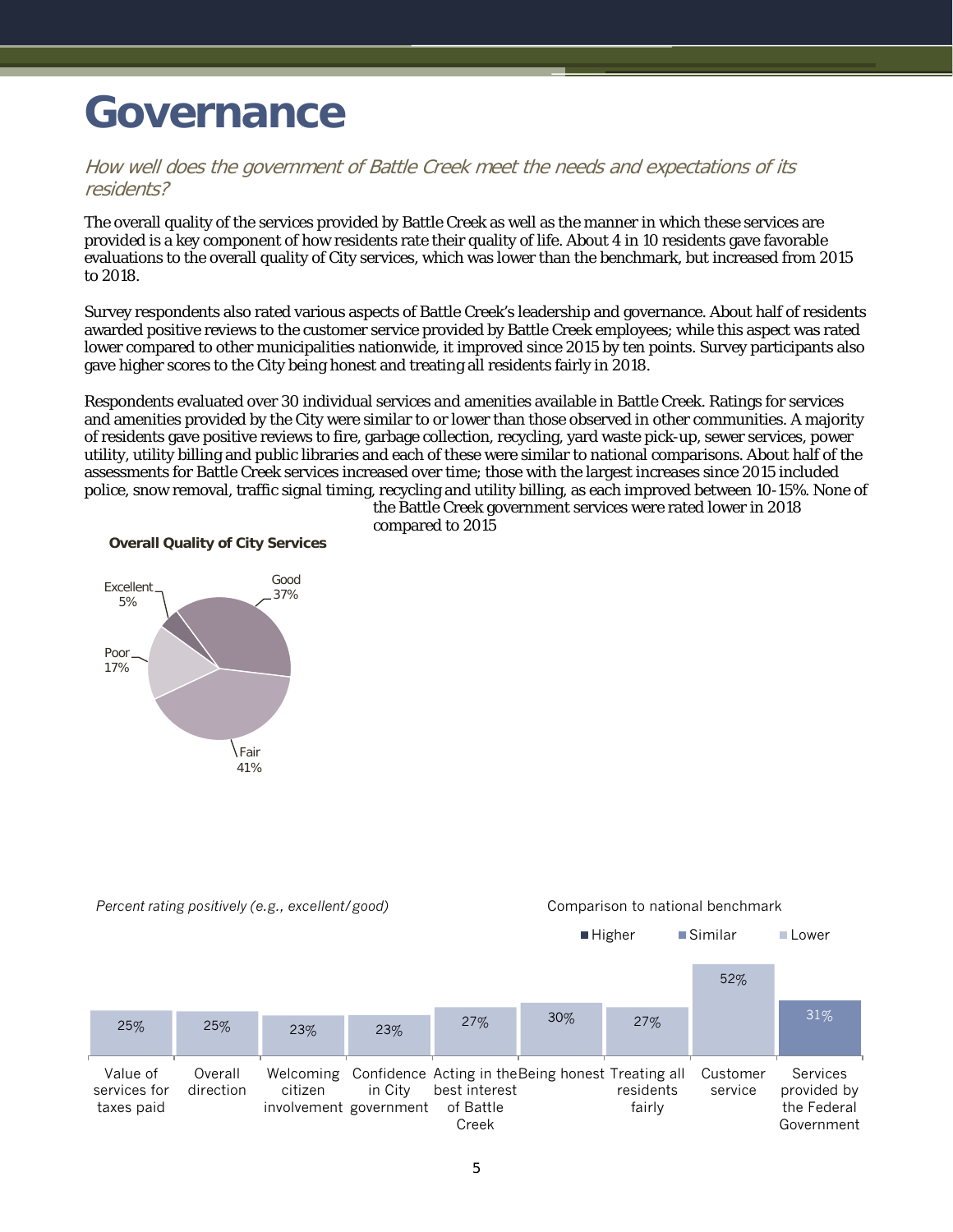## <span id="page-6-0"></span>**Governance**

### How well does the government of Battle Creek meet the needs and expectations of its residents?

The overall quality of the services provided by Battle Creek as well as the manner in which these services are provided is a key component of how residents rate their quality of life. About 4 in 10 residents gave favorable evaluations to the overall quality of City services, which was lower than the benchmark, but increased from 2015 to 2018.

Survey respondents also rated various aspects of Battle Creek's leadership and governance. About half of residents awarded positive reviews to the customer service provided by Battle Creek employees; while this aspect was rated lower compared to other municipalities nationwide, it improved since 2015 by ten points. Survey participants also gave higher scores to the City being honest and treating all residents fairly in 2018.

Respondents evaluated over 30 individual services and amenities available in Battle Creek. Ratings for services and amenities provided by the City were similar to or lower than those observed in other communities. A majority of residents gave positive reviews to fire, garbage collection, recycling, yard waste pick-up, sewer services, power utility, utility billing and public libraries and each of these were similar to national comparisons. About half of the assessments for Battle Creek services increased over time; those with the largest increases since 2015 included police, snow removal, traffic signal timing, recycling and utility billing, as each improved between 10-15%. None of

> the Battle Creek government services were rated lower in 2018 compared to 2015

**Overall Quality of City Services**



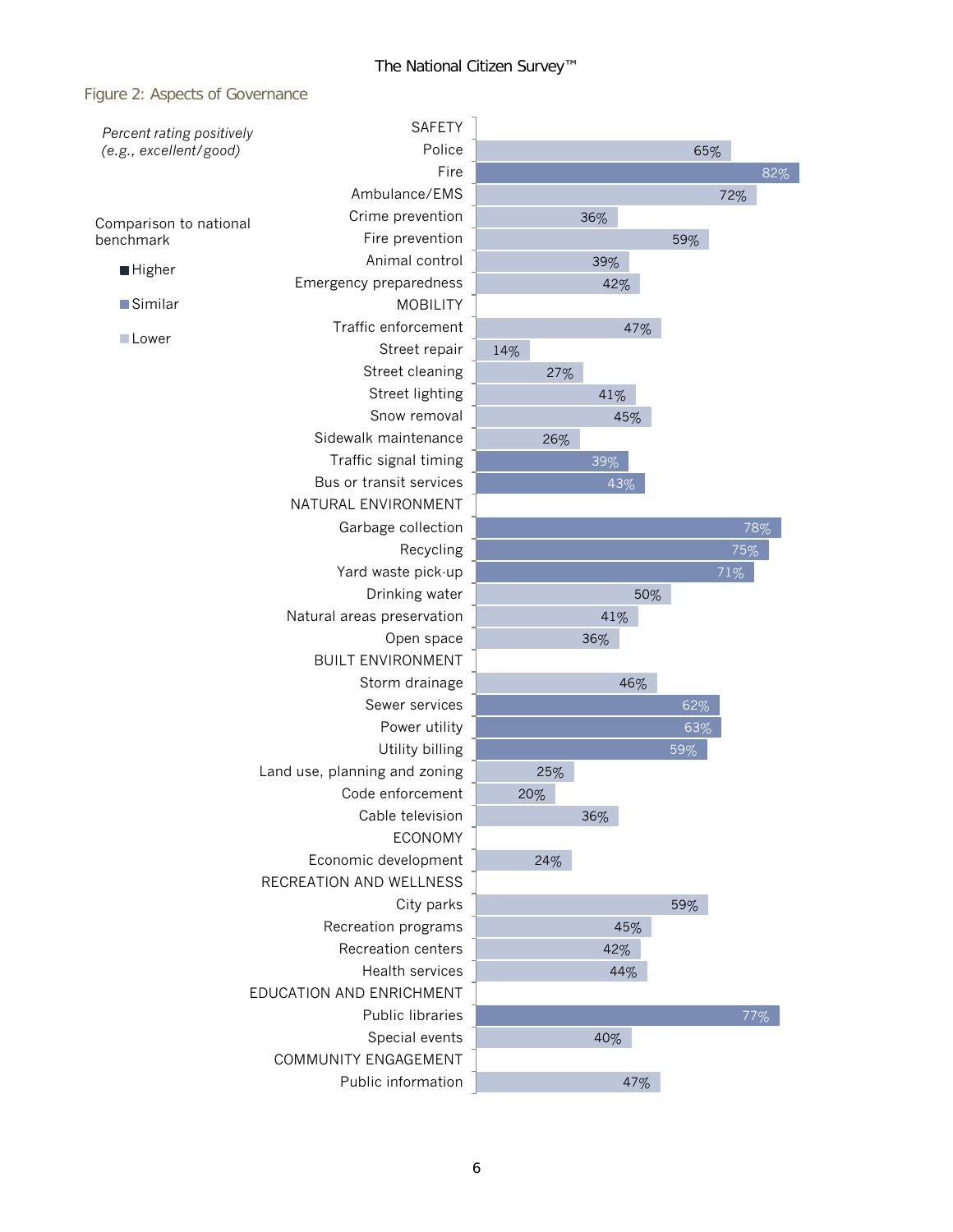### Figure 2: Aspects of Governance

| Percent rating positively | <b>SAFETY</b>                 |     |     |     |     |        |     |
|---------------------------|-------------------------------|-----|-----|-----|-----|--------|-----|
| (e.g., excellent/good)    | Police                        | 65% |     |     |     |        |     |
|                           | Fire                          |     |     |     |     |        | 82% |
|                           | Ambulance/EMS                 |     |     |     |     | 72%    |     |
| Comparison to national    | Crime prevention              |     | 36% |     |     |        |     |
| benchmark                 | Fire prevention               |     |     |     | 59% |        |     |
|                           | Animal control                |     | 39% |     |     |        |     |
| <b>Higher</b>             | Emergency preparedness        |     | 42% |     |     |        |     |
| $\blacksquare$ Similar    | <b>MOBILITY</b>               |     |     |     |     |        |     |
|                           | Traffic enforcement           |     |     | 47% |     |        |     |
| <b>Lower</b>              | Street repair                 | 14% |     |     |     |        |     |
|                           | Street cleaning               | 27% |     |     |     |        |     |
|                           | Street lighting               |     | 41% |     |     |        |     |
|                           | Snow removal                  |     |     | 45% |     |        |     |
|                           | Sidewalk maintenance          | 26% |     |     |     |        |     |
|                           | Traffic signal timing         |     | 39% |     |     |        |     |
|                           | Bus or transit services       |     |     | 43% |     |        |     |
|                           | NATURAL ENVIRONMENT           |     |     |     |     |        |     |
|                           | Garbage collection            |     |     |     |     |        | 78% |
|                           | Recycling                     |     |     |     |     | 75%    |     |
|                           | Yard waste pick-up            |     |     |     |     | $71\%$ |     |
|                           | Drinking water                |     |     | 50% |     |        |     |
|                           | Natural areas preservation    |     | 41% |     |     |        |     |
|                           | Open space                    |     | 36% |     |     |        |     |
|                           | <b>BUILT ENVIRONMENT</b>      |     |     |     |     |        |     |
|                           | Storm drainage                |     |     | 46% |     |        |     |
|                           |                               |     |     | 62% |     |        |     |
|                           | Power utility                 |     |     |     | 63% |        |     |
|                           | Utility billing               |     |     |     | 59% |        |     |
|                           | Land use, planning and zoning | 25% |     |     |     |        |     |
|                           | Code enforcement              | 20% |     |     |     |        |     |
|                           | Cable television              |     | 36% |     |     |        |     |
|                           | <b>ECONOMY</b>                |     |     |     |     |        |     |
|                           | Economic development          | 24% |     |     |     |        |     |
|                           | RECREATION AND WELLNESS       |     |     |     |     |        |     |
|                           | City parks                    |     |     |     | 59% |        |     |
|                           | Recreation programs           |     |     | 45% |     |        |     |
| Recreation centers        |                               |     | 42% |     |     |        |     |
|                           | Health services               |     |     | 44% |     |        |     |
|                           | EDUCATION AND ENRICHMENT      |     |     |     |     |        |     |
|                           | Public libraries              |     |     |     |     |        | 77% |
|                           | Special events                |     | 40% |     |     |        |     |
|                           | COMMUNITY ENGAGEMENT          |     |     |     |     |        |     |
|                           | Public information            |     |     | 47% |     |        |     |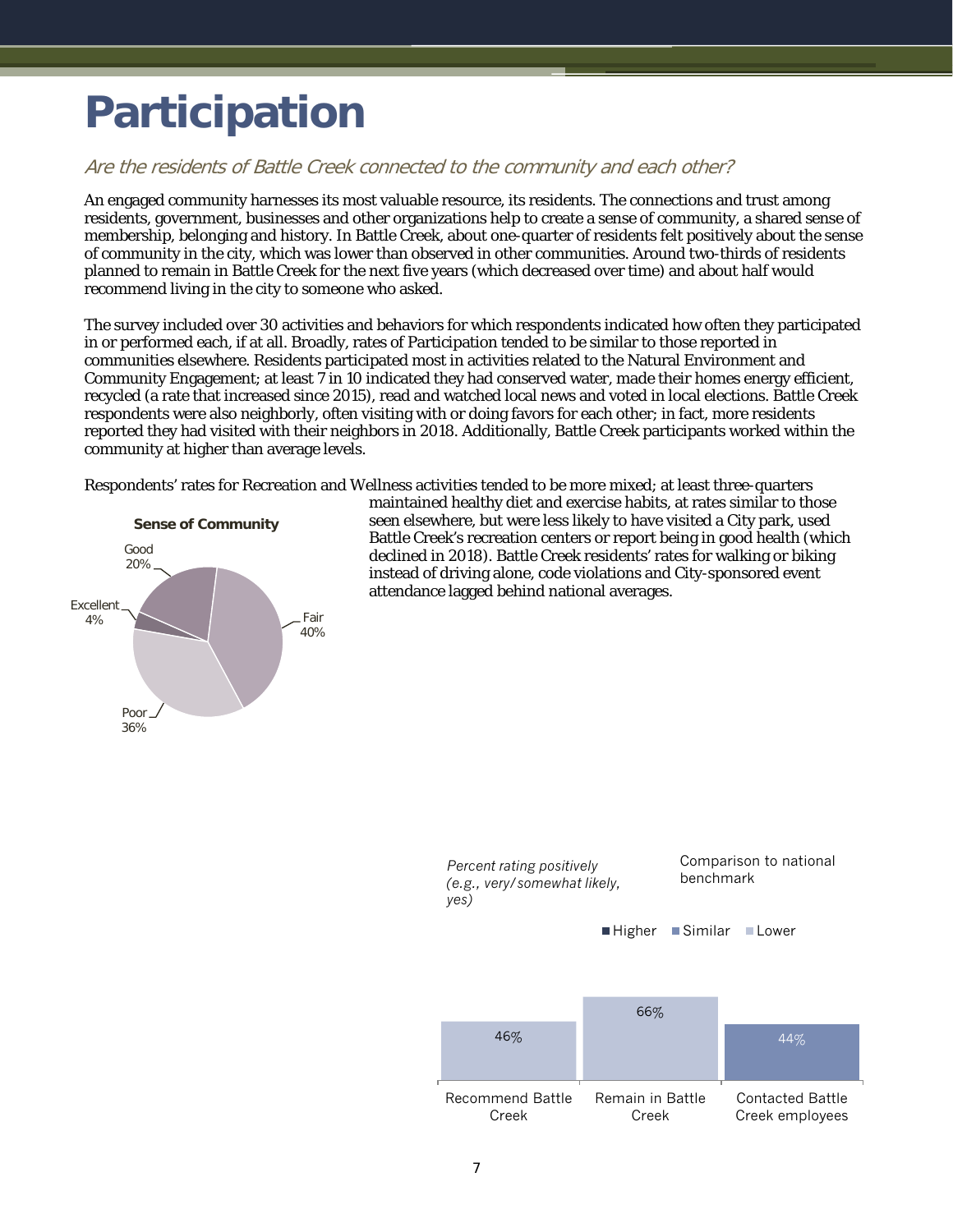# <span id="page-8-0"></span>**Participation**

## Are the residents of Battle Creek connected to the community and each other?

An engaged community harnesses its most valuable resource, its residents. The connections and trust among residents, government, businesses and other organizations help to create a sense of community, a shared sense of membership, belonging and history. In Battle Creek, about one-quarter of residents felt positively about the sense of community in the city, which was lower than observed in other communities. Around two-thirds of residents planned to remain in Battle Creek for the next five years (which decreased over time) and about half would recommend living in the city to someone who asked.

The survey included over 30 activities and behaviors for which respondents indicated how often they participated in or performed each, if at all. Broadly, rates of Participation tended to be similar to those reported in communities elsewhere. Residents participated most in activities related to the Natural Environment and Community Engagement; at least 7 in 10 indicated they had conserved water, made their homes energy efficient, recycled (a rate that increased since 2015), read and watched local news and voted in local elections. Battle Creek respondents were also neighborly, often visiting with or doing favors for each other; in fact, more residents reported they had visited with their neighbors in 2018. Additionally, Battle Creek participants worked within the community at higher than average levels.

Respondents' rates for Recreation and Wellness activities tended to be more mixed; at least three-quarters



maintained healthy diet and exercise habits, at rates similar to those seen elsewhere, but were less likely to have visited a City park, used Battle Creek's recreation centers or report being in good health (which declined in 2018). Battle Creek residents' rates for walking or biking instead of driving alone, code violations and City-sponsored event attendance lagged behind national averages.

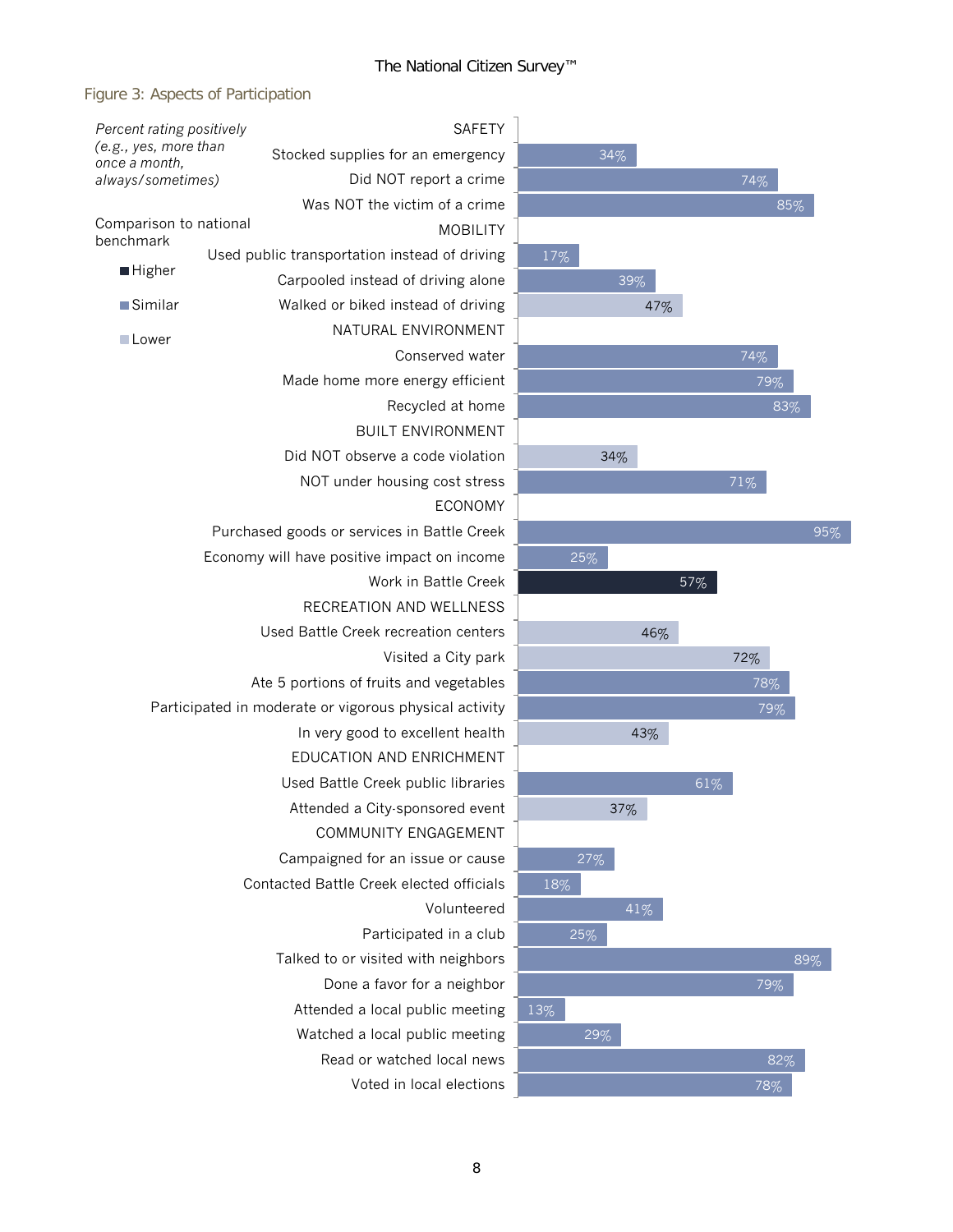$\overline{a}$ 

### Figure 3: Aspects of Participation

| Percent rating positively<br>(e.g., yes, more than<br>once a month,<br>always/sometimes) |  | <b>SAFETY</b>                                          |  |
|------------------------------------------------------------------------------------------|--|--------------------------------------------------------|--|
|                                                                                          |  | Stocked supplies for an emergency                      |  |
|                                                                                          |  | Did NOT report a crime                                 |  |
|                                                                                          |  | Was NOT the victim of a crime                          |  |
| Comparison to national                                                                   |  | <b>MOBILITY</b>                                        |  |
| benchmark                                                                                |  | Used public transportation instead of driving          |  |
| Higher                                                                                   |  | Carpooled instead of driving alone                     |  |
| ■Similar                                                                                 |  | Walked or biked instead of driving                     |  |
| □Lower                                                                                   |  | NATURAL ENVIRONMENT                                    |  |
|                                                                                          |  | Conserved water                                        |  |
|                                                                                          |  | Made home more energy efficient                        |  |
|                                                                                          |  | Recycled at home                                       |  |
|                                                                                          |  | <b>BUILT ENVIRONMENT</b>                               |  |
|                                                                                          |  | Did NOT observe a code violation                       |  |
|                                                                                          |  | NOT under housing cost stress                          |  |
|                                                                                          |  | <b>ECONOMY</b>                                         |  |
|                                                                                          |  | Purchased goods or services in Battle Creek            |  |
|                                                                                          |  | Economy will have positive impact on income            |  |
|                                                                                          |  | Work in Battle Creek                                   |  |
|                                                                                          |  | RECREATION AND WELLNESS                                |  |
|                                                                                          |  | Used Battle Creek recreation centers                   |  |
|                                                                                          |  | Visited a City park                                    |  |
|                                                                                          |  | Ate 5 portions of fruits and vegetables                |  |
|                                                                                          |  | Participated in moderate or vigorous physical activity |  |
|                                                                                          |  | In very good to excellent health                       |  |
|                                                                                          |  | EDUCATION AND ENRICHMENT                               |  |
|                                                                                          |  | Used Battle Creek public libraries                     |  |
|                                                                                          |  | Attended a City-sponsored event                        |  |
|                                                                                          |  | COMMUNITY ENGAGEMENT                                   |  |
|                                                                                          |  | Campaigned for an issue or cause                       |  |
|                                                                                          |  | Contacted Battle Creek elected officials               |  |
|                                                                                          |  | Volunteered                                            |  |
|                                                                                          |  | Participated in a club                                 |  |
|                                                                                          |  | Talked to or visited with neighbors                    |  |
|                                                                                          |  | Done a favor for a neighbor                            |  |
|                                                                                          |  | Attended a local public meeting                        |  |
|                                                                                          |  | Watched a local public meeting                         |  |
|                                                                                          |  | Read or watched local news                             |  |
|                                                                                          |  | Voted in local elections                               |  |

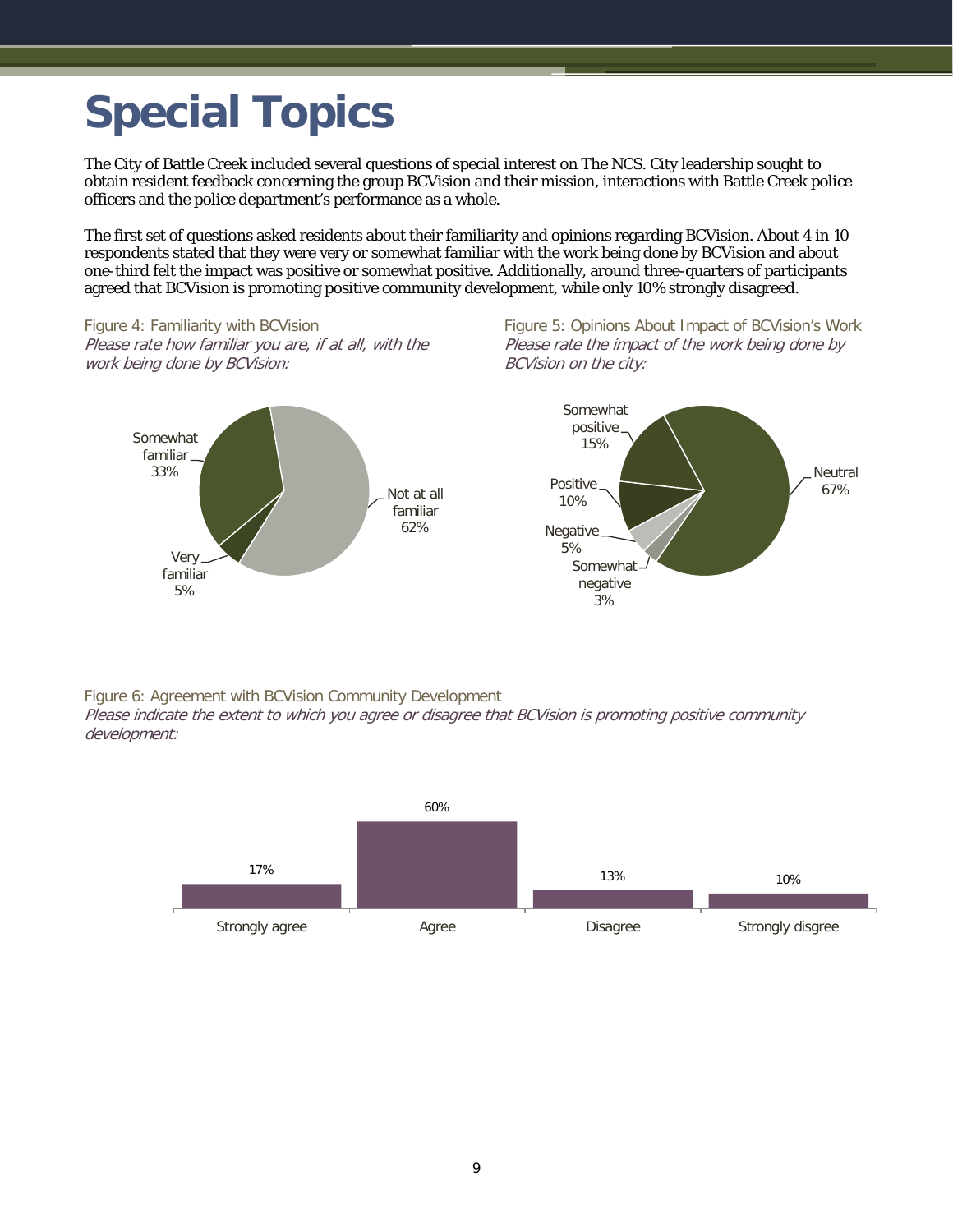# <span id="page-10-0"></span>**Special Topics**

The City of Battle Creek included several questions of special interest on The NCS. City leadership sought to obtain resident feedback concerning the group BCVision and their mission, interactions with Battle Creek police officers and the police department's performance as a whole.

The first set of questions asked residents about their familiarity and opinions regarding BCVision. About 4 in 10 respondents stated that they were very or somewhat familiar with the work being done by BCVision and about one-third felt the impact was positive or somewhat positive. Additionally, around three-quarters of participants agreed that BCVision is promoting positive community development, while only 10% strongly disagreed.

Figure 4: Familiarity with BCVision Please rate how familiar you are, if at all, with the work being done by BCVision:



Figure 5: Opinions About Impact of BCVision's Work Please rate the impact of the work being done by BCVision on the city:



Figure 6: Agreement with BCVision Community Development

Please indicate the extent to which you agree or disagree that BCVision is promoting positive community development:

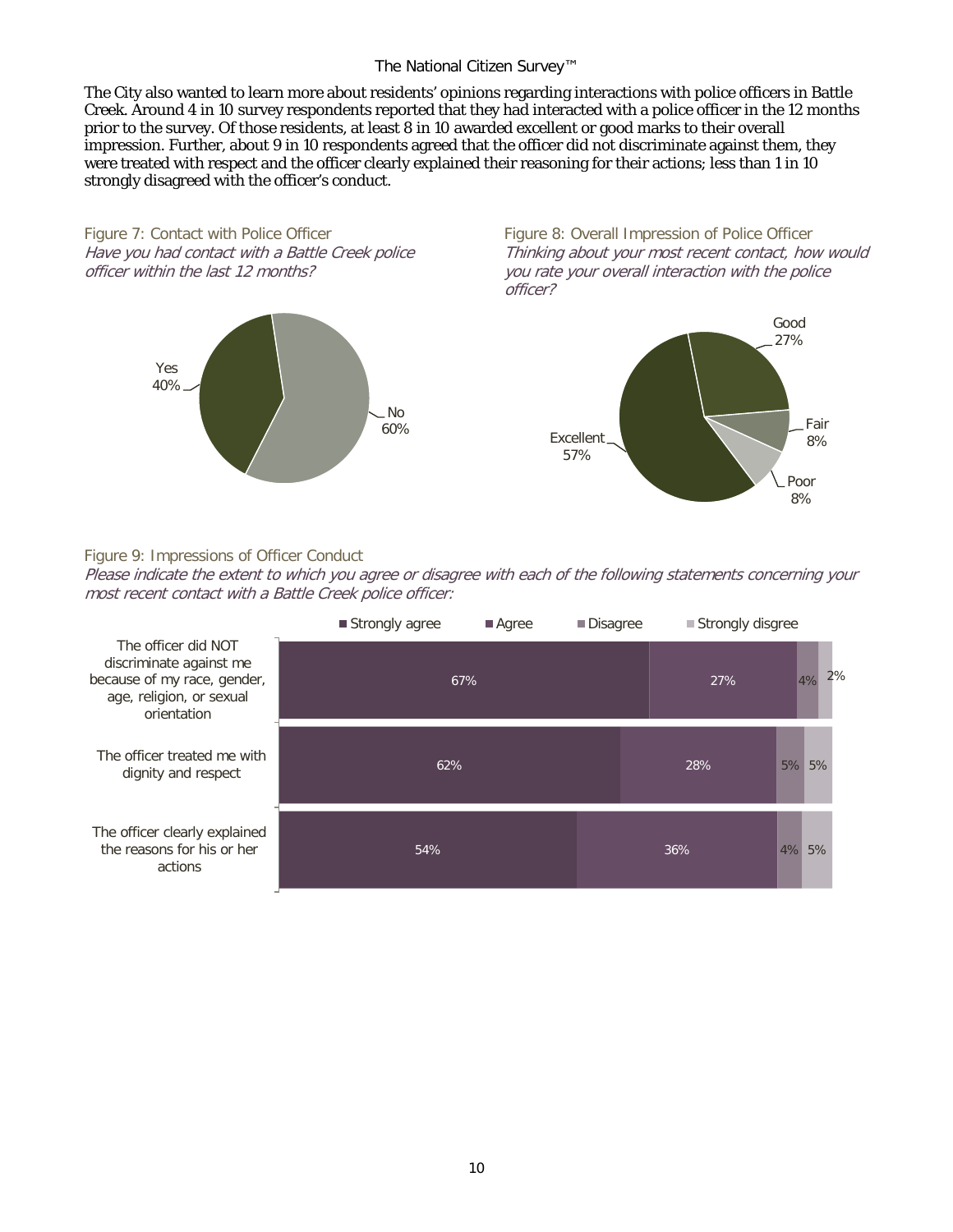#### The National Citizen Survey™

The City also wanted to learn more about residents' opinions regarding interactions with police officers in Battle Creek. Around 4 in 10 survey respondents reported that they had interacted with a police officer in the 12 months prior to the survey. Of those residents, at least 8 in 10 awarded excellent or good marks to their overall impression. Further, about 9 in 10 respondents agreed that the officer did not discriminate against them, they were treated with respect and the officer clearly explained their reasoning for their actions; less than 1 in 10 strongly disagreed with the officer's conduct.

Figure 7: Contact with Police Officer Have you had contact with a Battle Creek police officer within the last 12 months?



Figure 8: Overall Impression of Police Officer Thinking about your most recent contact, how would you rate your overall interaction with the police officer?



### Figure 9: Impressions of Officer Conduct

Please indicate the extent to which you agree or disagree with each of the following statements concerning your most recent contact with a Battle Creek police officer:

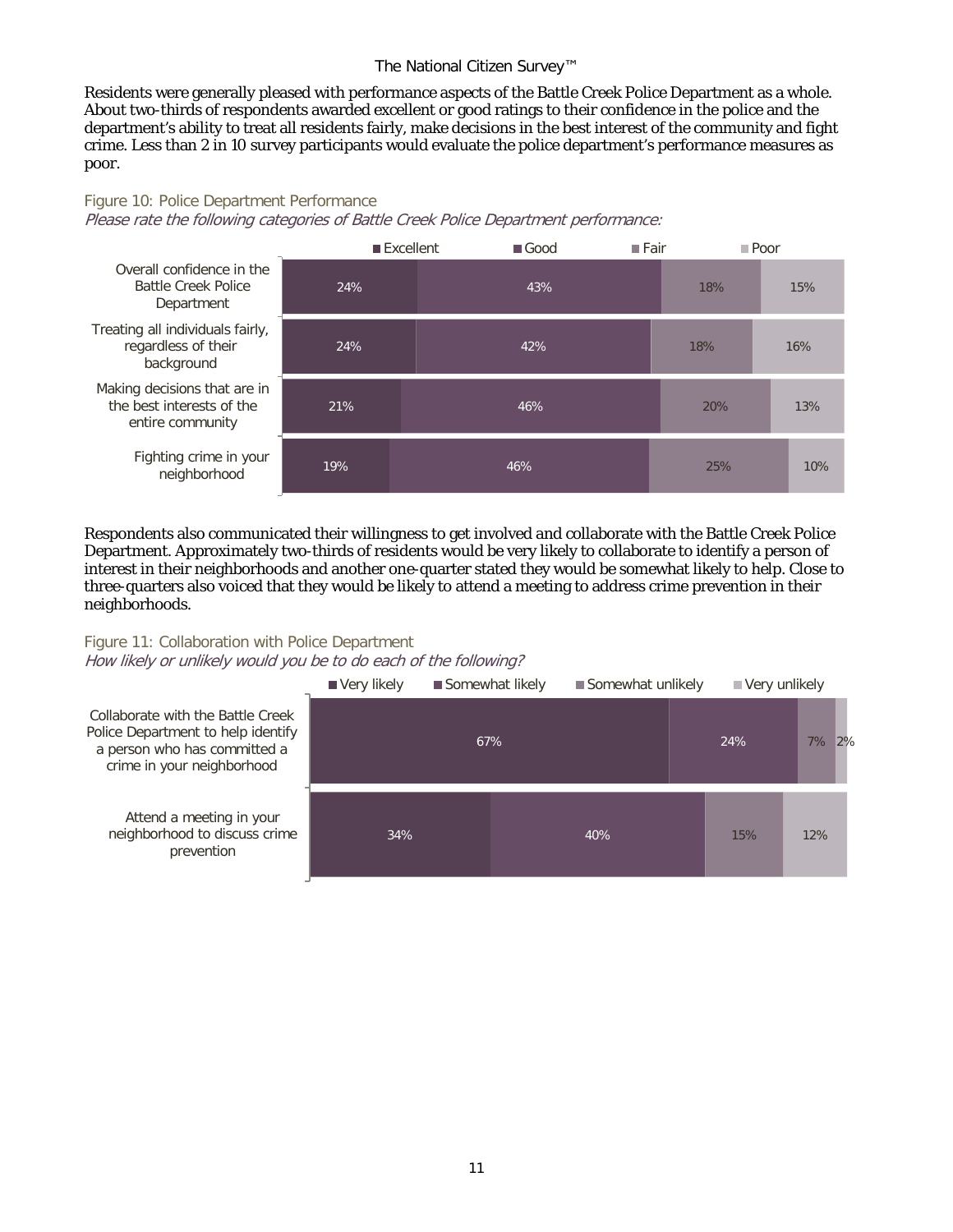#### The National Citizen Survey™

Residents were generally pleased with performance aspects of the Battle Creek Police Department as a whole. About two-thirds of respondents awarded excellent or good ratings to their confidence in the police and the department's ability to treat all residents fairly, make decisions in the best interest of the community and fight crime. Less than 2 in 10 survey participants would evaluate the police department's performance measures as poor.

#### Figure 10: Police Department Performance

Please rate the following categories of Battle Creek Police Department performance:



Respondents also communicated their willingness to get involved and collaborate with the Battle Creek Police Department. Approximately two-thirds of residents would be very likely to collaborate to identify a person of interest in their neighborhoods and another one-quarter stated they would be somewhat likely to help. Close to three-quarters also voiced that they would be likely to attend a meeting to address crime prevention in their neighborhoods.

#### Figure 11: Collaboration with Police Department How likely or unlikely would you be to do each of the following?